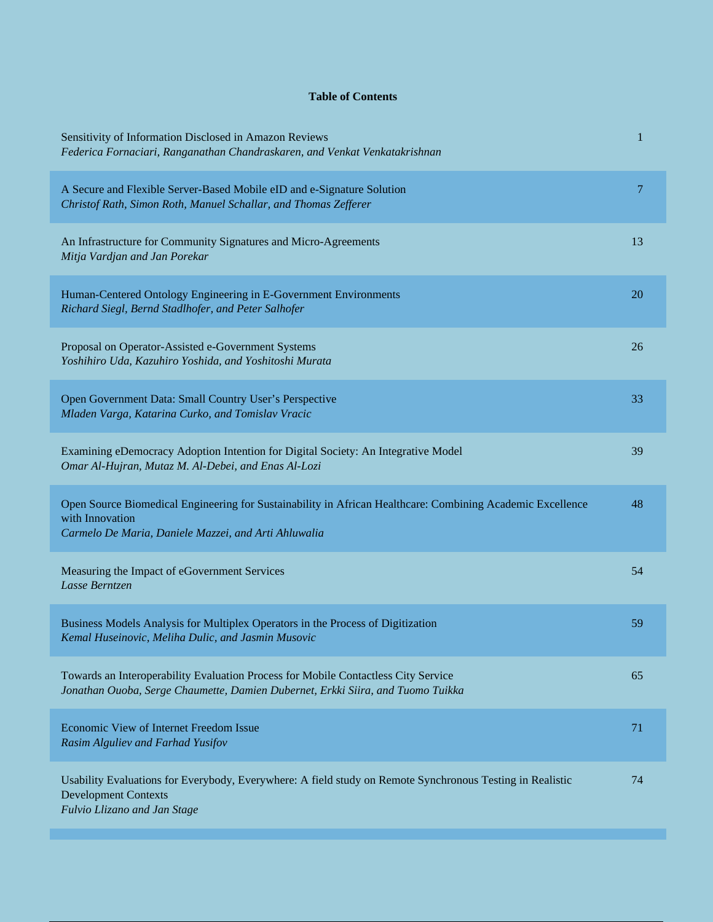## **Table of Contents**

| Sensitivity of Information Disclosed in Amazon Reviews<br>Federica Fornaciari, Ranganathan Chandraskaren, and Venkat Venkatakrishnan                                                  | $\mathbf 1$ |
|---------------------------------------------------------------------------------------------------------------------------------------------------------------------------------------|-------------|
| A Secure and Flexible Server-Based Mobile eID and e-Signature Solution<br>Christof Rath, Simon Roth, Manuel Schallar, and Thomas Zefferer                                             | 7           |
| An Infrastructure for Community Signatures and Micro-Agreements<br>Mitja Vardjan and Jan Porekar                                                                                      | 13          |
| Human-Centered Ontology Engineering in E-Government Environments<br>Richard Siegl, Bernd Stadlhofer, and Peter Salhofer                                                               | 20          |
| Proposal on Operator-Assisted e-Government Systems<br>Yoshihiro Uda, Kazuhiro Yoshida, and Yoshitoshi Murata                                                                          | 26          |
| Open Government Data: Small Country User's Perspective<br>Mladen Varga, Katarina Curko, and Tomislav Vracic                                                                           | 33          |
| Examining eDemocracy Adoption Intention for Digital Society: An Integrative Model<br>Omar Al-Hujran, Mutaz M. Al-Debei, and Enas Al-Lozi                                              | 39          |
| Open Source Biomedical Engineering for Sustainability in African Healthcare: Combining Academic Excellence<br>with Innovation<br>Carmelo De Maria, Daniele Mazzei, and Arti Ahluwalia | 48          |
| Measuring the Impact of eGovernment Services<br>Lasse Berntzen                                                                                                                        | 54          |
| Business Models Analysis for Multiplex Operators in the Process of Digitization<br>Kemal Huseinovic, Meliha Dulic, and Jasmin Musovic                                                 | 59          |
| Towards an Interoperability Evaluation Process for Mobile Contactless City Service<br>Jonathan Ouoba, Serge Chaumette, Damien Dubernet, Erkki Siira, and Tuomo Tuikka                 | 65          |
| Economic View of Internet Freedom Issue<br>Rasim Alguliev and Farhad Yusifov                                                                                                          | 71          |
| Usability Evaluations for Everybody, Everywhere: A field study on Remote Synchronous Testing in Realistic<br><b>Development Contexts</b><br>Fulvio Llizano and Jan Stage              | 74          |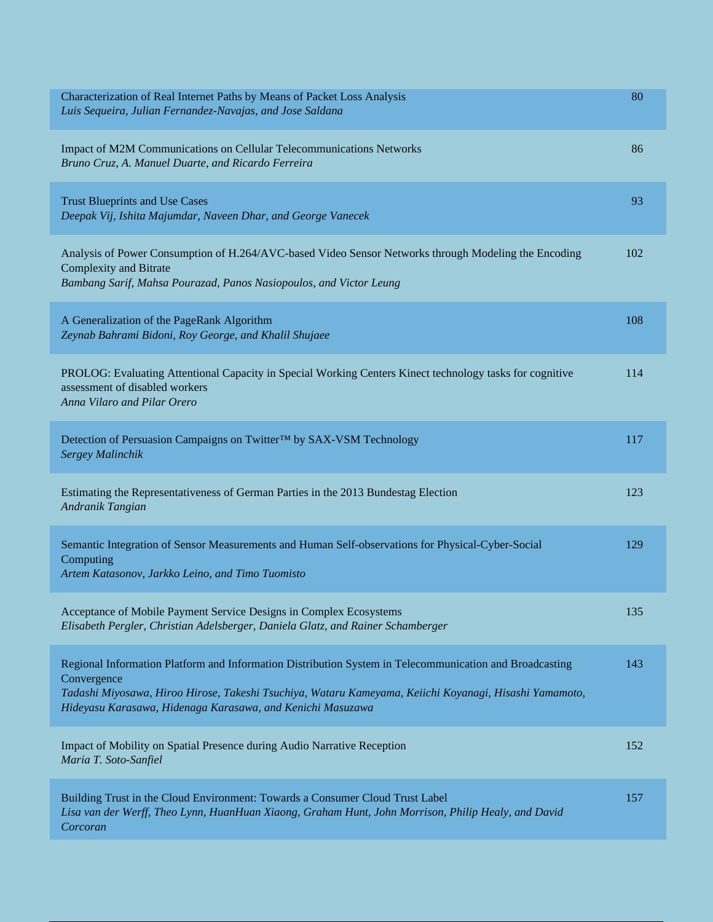| Characterization of Real Internet Paths by Means of Packet Loss Analysis<br>Luis Sequeira, Julian Fernandez-Navajas, and Jose Saldana                                                                                                                                                          | 80  |
|------------------------------------------------------------------------------------------------------------------------------------------------------------------------------------------------------------------------------------------------------------------------------------------------|-----|
| Impact of M2M Communications on Cellular Telecommunications Networks<br>Bruno Cruz, A. Manuel Duarte, and Ricardo Ferreira                                                                                                                                                                     | 86  |
| <b>Trust Blueprints and Use Cases</b><br>Deepak Vij, Ishita Majumdar, Naveen Dhar, and George Vanecek                                                                                                                                                                                          | 93  |
| Analysis of Power Consumption of H.264/AVC-based Video Sensor Networks through Modeling the Encoding<br><b>Complexity and Bitrate</b><br>Bambang Sarif, Mahsa Pourazad, Panos Nasiopoulos, and Victor Leung                                                                                    | 102 |
| A Generalization of the PageRank Algorithm<br>Zeynab Bahrami Bidoni, Roy George, and Khalil Shujaee                                                                                                                                                                                            | 108 |
| PROLOG: Evaluating Attentional Capacity in Special Working Centers Kinect technology tasks for cognitive<br>assessment of disabled workers<br>Anna Vilaro and Pilar Orero                                                                                                                      | 114 |
| Detection of Persuasion Campaigns on Twitter™ by SAX-VSM Technology<br>Sergey Malinchik                                                                                                                                                                                                        | 117 |
| Estimating the Representativeness of German Parties in the 2013 Bundestag Election<br>Andranik Tangian                                                                                                                                                                                         | 123 |
| Semantic Integration of Sensor Measurements and Human Self-observations for Physical-Cyber-Social<br>Computing<br>Artem Katasonov, Jarkko Leino, and Timo Tuomisto                                                                                                                             | 129 |
| Acceptance of Mobile Payment Service Designs in Complex Ecosystems<br>Elisabeth Pergler, Christian Adelsberger, Daniela Glatz, and Rainer Schamberger                                                                                                                                          | 135 |
| Regional Information Platform and Information Distribution System in Telecommunication and Broadcasting<br>Convergence<br>Tadashi Miyosawa, Hiroo Hirose, Takeshi Tsuchiya, Wataru Kameyama, Keiichi Koyanagi, Hisashi Yamamoto,<br>Hideyasu Karasawa, Hidenaga Karasawa, and Kenichi Masuzawa | 143 |
| Impact of Mobility on Spatial Presence during Audio Narrative Reception<br>Maria T. Soto-Sanfiel                                                                                                                                                                                               | 152 |
| Building Trust in the Cloud Environment: Towards a Consumer Cloud Trust Label<br>Lisa van der Werff, Theo Lynn, HuanHuan Xiaong, Graham Hunt, John Morrison, Philip Healy, and David<br>Corcoran                                                                                               | 157 |